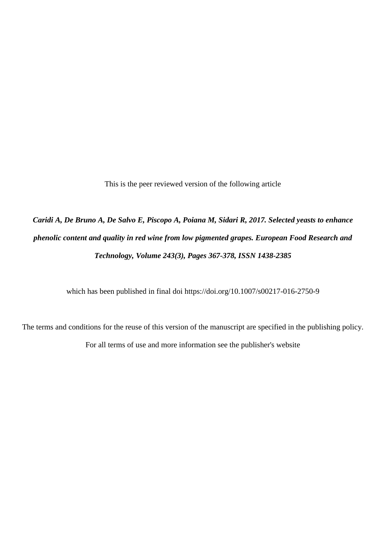This is the peer reviewed version of the following article

# *Caridi A, De Bruno A, De Salvo E, Piscopo A, Poiana M, Sidari R, 2017. Selected yeasts to enhance phenolic content and quality in red wine from low pigmented grapes. European Food Research and Technology, Volume 243(3), Pages 367-378, ISSN 1438-2385*

which has been published in final doi https://doi.org/10.1007/s00217-016-2750-9

The terms and conditions for the reuse of this version of the manuscript are specified in the publishing policy. For all terms of use and more information see the publisher's website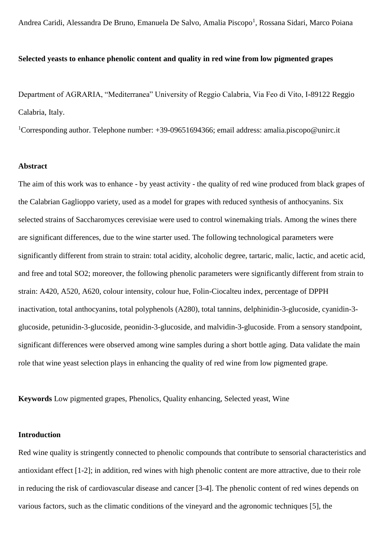Andrea Caridi, Alessandra De Bruno, Emanuela De Salvo, Amalia Piscopo<sup>1</sup>, Rossana Sidari, Marco Poiana

## **Selected yeasts to enhance phenolic content and quality in red wine from low pigmented grapes**

Department of AGRARIA, "Mediterranea" University of Reggio Calabria, Via Feo di Vito, I-89122 Reggio Calabria, Italy.

<sup>1</sup>Corresponding author. Telephone number:  $+39-09651694366$ ; email address: amalia.piscopo@unirc.it

## **Abstract**

The aim of this work was to enhance - by yeast activity - the quality of red wine produced from black grapes of the Calabrian Gaglioppo variety, used as a model for grapes with reduced synthesis of anthocyanins. Six selected strains of Saccharomyces cerevisiae were used to control winemaking trials. Among the wines there are significant differences, due to the wine starter used. The following technological parameters were significantly different from strain to strain: total acidity, alcoholic degree, tartaric, malic, lactic, and acetic acid, and free and total SO2; moreover, the following phenolic parameters were significantly different from strain to strain: A420, A520, A620, colour intensity, colour hue, Folin-Ciocalteu index, percentage of DPPH inactivation, total anthocyanins, total polyphenols (A280), total tannins, delphinidin-3-glucoside, cyanidin-3 glucoside, petunidin-3-glucoside, peonidin-3-glucoside, and malvidin-3-glucoside. From a sensory standpoint, significant differences were observed among wine samples during a short bottle aging. Data validate the main role that wine yeast selection plays in enhancing the quality of red wine from low pigmented grape.

**Keywords** Low pigmented grapes, Phenolics, Quality enhancing, Selected yeast, Wine

#### **Introduction**

Red wine quality is stringently connected to phenolic compounds that contribute to sensorial characteristics and antioxidant effect [1-2]; in addition, red wines with high phenolic content are more attractive, due to their role in reducing the risk of cardiovascular disease and cancer [3-4]. The phenolic content of red wines depends on various factors, such as the climatic conditions of the vineyard and the agronomic techniques [5], the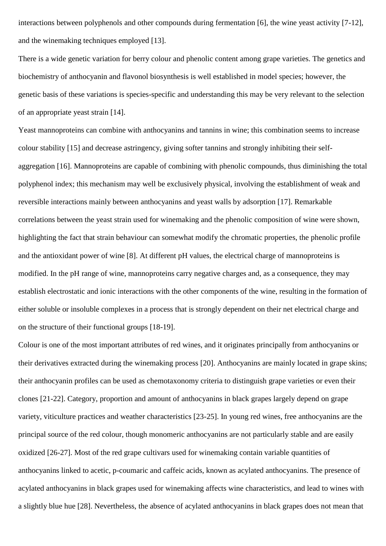interactions between polyphenols and other compounds during fermentation [6], the wine yeast activity [7-12], and the winemaking techniques employed [13].

There is a wide genetic variation for berry colour and phenolic content among grape varieties. The genetics and biochemistry of anthocyanin and flavonol biosynthesis is well established in model species; however, the genetic basis of these variations is species-specific and understanding this may be very relevant to the selection of an appropriate yeast strain [14].

Yeast mannoproteins can combine with anthocyanins and tannins in wine; this combination seems to increase colour stability [15] and decrease astringency, giving softer tannins and strongly inhibiting their selfaggregation [16]. Mannoproteins are capable of combining with phenolic compounds, thus diminishing the total polyphenol index; this mechanism may well be exclusively physical, involving the establishment of weak and reversible interactions mainly between anthocyanins and yeast walls by adsorption [17]. Remarkable correlations between the yeast strain used for winemaking and the phenolic composition of wine were shown, highlighting the fact that strain behaviour can somewhat modify the chromatic properties, the phenolic profile and the antioxidant power of wine [8]. At different pH values, the electrical charge of mannoproteins is modified. In the pH range of wine, mannoproteins carry negative charges and, as a consequence, they may establish electrostatic and ionic interactions with the other components of the wine, resulting in the formation of either soluble or insoluble complexes in a process that is strongly dependent on their net electrical charge and on the structure of their functional groups [18-19].

Colour is one of the most important attributes of red wines, and it originates principally from anthocyanins or their derivatives extracted during the winemaking process [20]. Anthocyanins are mainly located in grape skins; their anthocyanin profiles can be used as chemotaxonomy criteria to distinguish grape varieties or even their clones [21-22]. Category, proportion and amount of anthocyanins in black grapes largely depend on grape variety, viticulture practices and weather characteristics [23-25]. In young red wines, free anthocyanins are the principal source of the red colour, though monomeric anthocyanins are not particularly stable and are easily oxidized [26-27]. Most of the red grape cultivars used for winemaking contain variable quantities of anthocyanins linked to acetic, p-coumaric and caffeic acids, known as acylated anthocyanins. The presence of acylated anthocyanins in black grapes used for winemaking affects wine characteristics, and lead to wines with a slightly blue hue [28]. Nevertheless, the absence of acylated anthocyanins in black grapes does not mean that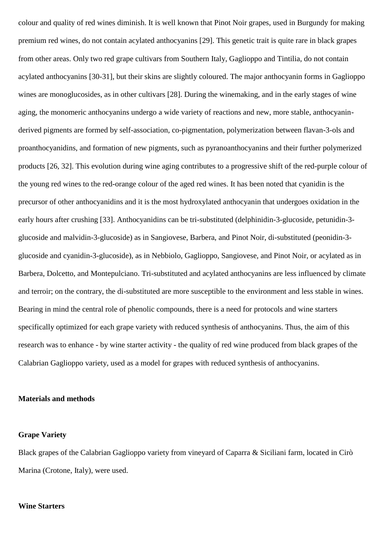colour and quality of red wines diminish. It is well known that Pinot Noir grapes, used in Burgundy for making premium red wines, do not contain acylated anthocyanins [29]. This genetic trait is quite rare in black grapes from other areas. Only two red grape cultivars from Southern Italy, Gaglioppo and Tintilia, do not contain acylated anthocyanins [30-31], but their skins are slightly coloured. The major anthocyanin forms in Gaglioppo wines are monoglucosides, as in other cultivars [28]. During the winemaking, and in the early stages of wine aging, the monomeric anthocyanins undergo a wide variety of reactions and new, more stable, anthocyaninderived pigments are formed by self-association, co-pigmentation, polymerization between flavan-3-ols and proanthocyanidins, and formation of new pigments, such as pyranoanthocyanins and their further polymerized products [26, 32]. This evolution during wine aging contributes to a progressive shift of the red-purple colour of the young red wines to the red-orange colour of the aged red wines. It has been noted that cyanidin is the precursor of other anthocyanidins and it is the most hydroxylated anthocyanin that undergoes oxidation in the early hours after crushing [33]. Anthocyanidins can be tri-substituted (delphinidin-3-glucoside, petunidin-3 glucoside and malvidin-3-glucoside) as in Sangiovese, Barbera, and Pinot Noir, di-substituted (peonidin-3 glucoside and cyanidin-3-glucoside), as in Nebbiolo, Gaglioppo, Sangiovese, and Pinot Noir, or acylated as in Barbera, Dolcetto, and Montepulciano. Tri-substituted and acylated anthocyanins are less influenced by climate and terroir; on the contrary, the di-substituted are more susceptible to the environment and less stable in wines. Bearing in mind the central role of phenolic compounds, there is a need for protocols and wine starters specifically optimized for each grape variety with reduced synthesis of anthocyanins. Thus, the aim of this research was to enhance - by wine starter activity - the quality of red wine produced from black grapes of the Calabrian Gaglioppo variety, used as a model for grapes with reduced synthesis of anthocyanins.

#### **Materials and methods**

#### **Grape Variety**

Black grapes of the Calabrian Gaglioppo variety from vineyard of Caparra & Siciliani farm, located in Cirò Marina (Crotone, Italy), were used.

#### **Wine Starters**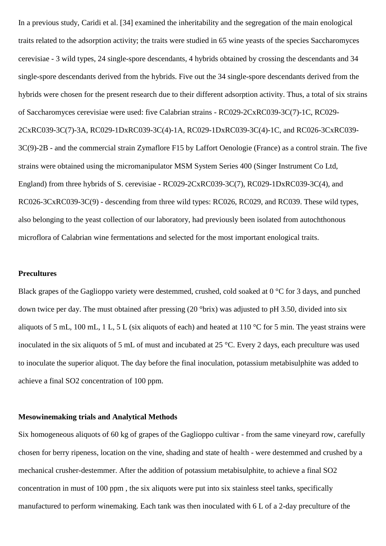In a previous study, Caridi et al. [34] examined the inheritability and the segregation of the main enological traits related to the adsorption activity; the traits were studied in 65 wine yeasts of the species Saccharomyces cerevisiae - 3 wild types, 24 single-spore descendants, 4 hybrids obtained by crossing the descendants and 34 single-spore descendants derived from the hybrids. Five out the 34 single-spore descendants derived from the hybrids were chosen for the present research due to their different adsorption activity. Thus, a total of six strains of Saccharomyces cerevisiae were used: five Calabrian strains - RC029-2CxRC039-3C(7)-1C, RC029- 2CxRC039-3C(7)-3A, RC029-1DxRC039-3C(4)-1A, RC029-1DxRC039-3C(4)-1C, and RC026-3CxRC039- 3C(9)-2B - and the commercial strain Zymaflore F15 by Laffort Oenologie (France) as a control strain. The five strains were obtained using the micromanipulator MSM System Series 400 (Singer Instrument Co Ltd, England) from three hybrids of S. cerevisiae - RC029-2CxRC039-3C(7), RC029-1DxRC039-3C(4), and RC026-3CxRC039-3C(9) - descending from three wild types: RC026, RC029, and RC039. These wild types, also belonging to the yeast collection of our laboratory, had previously been isolated from autochthonous microflora of Calabrian wine fermentations and selected for the most important enological traits.

## **Precultures**

Black grapes of the Gaglioppo variety were destemmed, crushed, cold soaked at 0 °C for 3 days, and punched down twice per day. The must obtained after pressing (20 °brix) was adjusted to pH 3.50, divided into six aliquots of 5 mL, 100 mL, 1 L, 5 L (six aliquots of each) and heated at 110 °C for 5 min. The yeast strains were inoculated in the six aliquots of 5 mL of must and incubated at 25 °C. Every 2 days, each preculture was used to inoculate the superior aliquot. The day before the final inoculation, potassium metabisulphite was added to achieve a final SO2 concentration of 100 ppm.

#### **Mesowinemaking trials and Analytical Methods**

Six homogeneous aliquots of 60 kg of grapes of the Gaglioppo cultivar - from the same vineyard row, carefully chosen for berry ripeness, location on the vine, shading and state of health - were destemmed and crushed by a mechanical crusher-destemmer. After the addition of potassium metabisulphite, to achieve a final SO2 concentration in must of 100 ppm , the six aliquots were put into six stainless steel tanks, specifically manufactured to perform winemaking. Each tank was then inoculated with 6 L of a 2-day preculture of the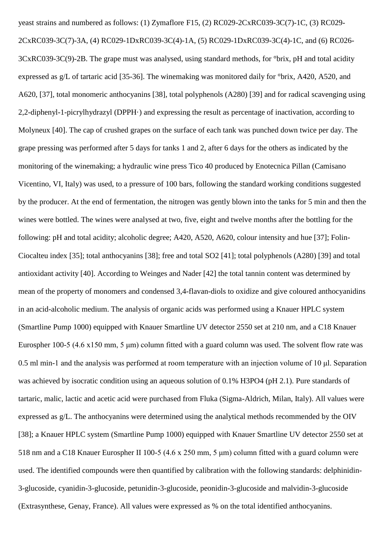yeast strains and numbered as follows: (1) Zymaflore F15, (2) RC029-2CxRC039-3C(7)-1C, (3) RC029- 2CxRC039-3C(7)-3A, (4) RC029-1DxRC039-3C(4)-1A, (5) RC029-1DxRC039-3C(4)-1C, and (6) RC026- 3CxRC039-3C(9)-2B. The grape must was analysed, using standard methods, for °brix, pH and total acidity expressed as g/L of tartaric acid [35-36]. The winemaking was monitored daily for °brix, A420, A520, and A620, [37], total monomeric anthocyanins [38], total polyphenols (A280) [39] and for radical scavenging using 2,2-diphenyl-1-picrylhydrazyl (DPPH·) and expressing the result as percentage of inactivation, according to Molyneux [40]. The cap of crushed grapes on the surface of each tank was punched down twice per day. The grape pressing was performed after 5 days for tanks 1 and 2, after 6 days for the others as indicated by the monitoring of the winemaking; a hydraulic wine press Tico 40 produced by Enotecnica Pillan (Camisano Vicentino, VI, Italy) was used, to a pressure of 100 bars, following the standard working conditions suggested by the producer. At the end of fermentation, the nitrogen was gently blown into the tanks for 5 min and then the wines were bottled. The wines were analysed at two, five, eight and twelve months after the bottling for the following: pH and total acidity; alcoholic degree; A420, A520, A620, colour intensity and hue [37]; Folin-Ciocalteu index [35]; total anthocyanins [38]; free and total SO2 [41]; total polyphenols (A280) [39] and total antioxidant activity [40]. According to Weinges and Nader [42] the total tannin content was determined by mean of the property of monomers and condensed 3,4-flavan-diols to oxidize and give coloured anthocyanidins in an acid-alcoholic medium. The analysis of organic acids was performed using a Knauer HPLC system (Smartline Pump 1000) equipped with Knauer Smartline UV detector 2550 set at 210 nm, and a C18 Knauer Eurospher 100-5 (4.6 x150 mm, 5 μm) column fitted with a guard column was used. The solvent flow rate was 0.5 ml min-1 and the analysis was performed at room temperature with an injection volume of 10 μl. Separation was achieved by isocratic condition using an aqueous solution of 0.1% H3PO4 (pH 2.1). Pure standards of tartaric, malic, lactic and acetic acid were purchased from Fluka (Sigma-Aldrich, Milan, Italy). All values were expressed as g/L. The anthocyanins were determined using the analytical methods recommended by the OIV [38]; a Knauer HPLC system (Smartline Pump 1000) equipped with Knauer Smartline UV detector 2550 set at 518 nm and a C18 Knauer Eurospher II 100-5 (4.6 x 250 mm, 5 μm) column fitted with a guard column were used. The identified compounds were then quantified by calibration with the following standards: delphinidin-3-glucoside, cyanidin-3-glucoside, petunidin-3-glucoside, peonidin-3-glucoside and malvidin-3-glucoside (Extrasynthese, Genay, France). All values were expressed as % on the total identified anthocyanins.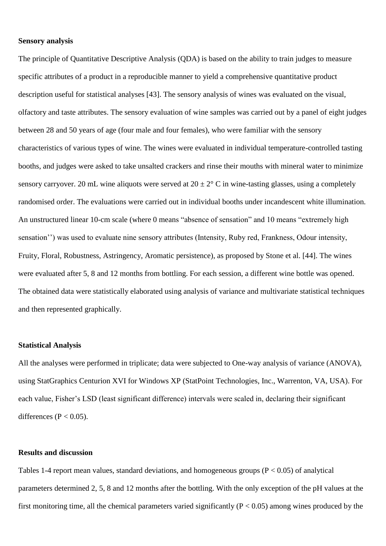# **Sensory analysis**

The principle of Quantitative Descriptive Analysis (QDA) is based on the ability to train judges to measure specific attributes of a product in a reproducible manner to yield a comprehensive quantitative product description useful for statistical analyses [43]. The sensory analysis of wines was evaluated on the visual, olfactory and taste attributes. The sensory evaluation of wine samples was carried out by a panel of eight judges between 28 and 50 years of age (four male and four females), who were familiar with the sensory characteristics of various types of wine. The wines were evaluated in individual temperature-controlled tasting booths, and judges were asked to take unsalted crackers and rinse their mouths with mineral water to minimize sensory carryover. 20 mL wine aliquots were served at  $20 \pm 2^{\circ}$  C in wine-tasting glasses, using a completely randomised order. The evaluations were carried out in individual booths under incandescent white illumination. An unstructured linear 10-cm scale (where 0 means "absence of sensation" and 10 means "extremely high sensation'') was used to evaluate nine sensory attributes (Intensity, Ruby red, Frankness, Odour intensity, Fruity, Floral, Robustness, Astringency, Aromatic persistence), as proposed by Stone et al. [44]. The wines were evaluated after 5, 8 and 12 months from bottling. For each session, a different wine bottle was opened. The obtained data were statistically elaborated using analysis of variance and multivariate statistical techniques and then represented graphically.

# **Statistical Analysis**

All the analyses were performed in triplicate; data were subjected to One-way analysis of variance (ANOVA), using StatGraphics Centurion XVI for Windows XP (StatPoint Technologies, Inc., Warrenton, VA, USA). For each value, Fisher's LSD (least significant difference) intervals were scaled in, declaring their significant differences ( $P < 0.05$ ).

# **Results and discussion**

Tables 1-4 report mean values, standard deviations, and homogeneous groups  $(P < 0.05)$  of analytical parameters determined 2, 5, 8 and 12 months after the bottling. With the only exception of the pH values at the first monitoring time, all the chemical parameters varied significantly  $(P < 0.05)$  among wines produced by the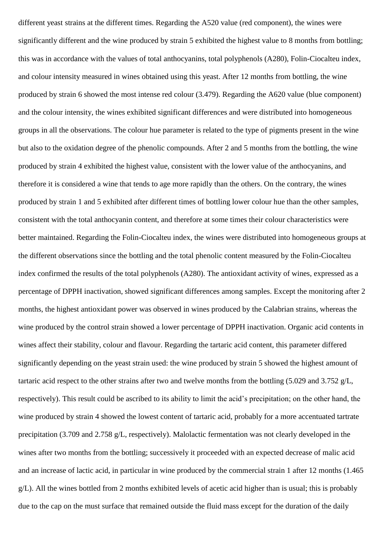different yeast strains at the different times. Regarding the A520 value (red component), the wines were significantly different and the wine produced by strain 5 exhibited the highest value to 8 months from bottling; this was in accordance with the values of total anthocyanins, total polyphenols (A280), Folin-Ciocalteu index, and colour intensity measured in wines obtained using this yeast. After 12 months from bottling, the wine produced by strain 6 showed the most intense red colour (3.479). Regarding the A620 value (blue component) and the colour intensity, the wines exhibited significant differences and were distributed into homogeneous groups in all the observations. The colour hue parameter is related to the type of pigments present in the wine but also to the oxidation degree of the phenolic compounds. After 2 and 5 months from the bottling, the wine produced by strain 4 exhibited the highest value, consistent with the lower value of the anthocyanins, and therefore it is considered a wine that tends to age more rapidly than the others. On the contrary, the wines produced by strain 1 and 5 exhibited after different times of bottling lower colour hue than the other samples, consistent with the total anthocyanin content, and therefore at some times their colour characteristics were better maintained. Regarding the Folin-Ciocalteu index, the wines were distributed into homogeneous groups at the different observations since the bottling and the total phenolic content measured by the Folin-Ciocalteu index confirmed the results of the total polyphenols (A280). The antioxidant activity of wines, expressed as a percentage of DPPH inactivation, showed significant differences among samples. Except the monitoring after 2 months, the highest antioxidant power was observed in wines produced by the Calabrian strains, whereas the wine produced by the control strain showed a lower percentage of DPPH inactivation. Organic acid contents in wines affect their stability, colour and flavour. Regarding the tartaric acid content, this parameter differed significantly depending on the yeast strain used: the wine produced by strain 5 showed the highest amount of tartaric acid respect to the other strains after two and twelve months from the bottling (5.029 and 3.752 g/L, respectively). This result could be ascribed to its ability to limit the acid's precipitation; on the other hand, the wine produced by strain 4 showed the lowest content of tartaric acid, probably for a more accentuated tartrate precipitation (3.709 and 2.758 g/L, respectively). Malolactic fermentation was not clearly developed in the wines after two months from the bottling; successively it proceeded with an expected decrease of malic acid and an increase of lactic acid, in particular in wine produced by the commercial strain 1 after 12 months (1.465 g/L). All the wines bottled from 2 months exhibited levels of acetic acid higher than is usual; this is probably due to the cap on the must surface that remained outside the fluid mass except for the duration of the daily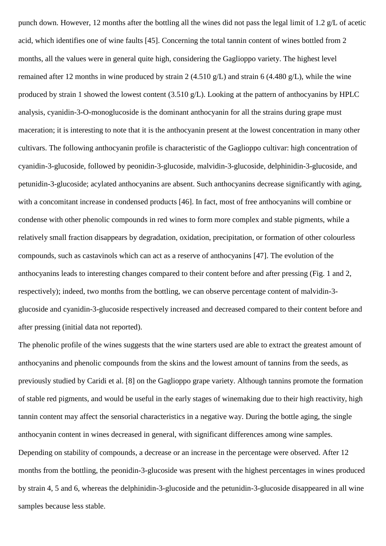punch down. However, 12 months after the bottling all the wines did not pass the legal limit of 1.2 g/L of acetic acid, which identifies one of wine faults [45]. Concerning the total tannin content of wines bottled from 2 months, all the values were in general quite high, considering the Gaglioppo variety. The highest level remained after 12 months in wine produced by strain 2 (4.510 g/L) and strain 6 (4.480 g/L), while the wine produced by strain 1 showed the lowest content (3.510 g/L). Looking at the pattern of anthocyanins by HPLC analysis, cyanidin-3-O-monoglucoside is the dominant anthocyanin for all the strains during grape must maceration; it is interesting to note that it is the anthocyanin present at the lowest concentration in many other cultivars. The following anthocyanin profile is characteristic of the Gaglioppo cultivar: high concentration of cyanidin-3-glucoside, followed by peonidin-3-glucoside, malvidin-3-glucoside, delphinidin-3-glucoside, and petunidin-3-glucoside; acylated anthocyanins are absent. Such anthocyanins decrease significantly with aging, with a concomitant increase in condensed products [46]. In fact, most of free anthocyanins will combine or condense with other phenolic compounds in red wines to form more complex and stable pigments, while a relatively small fraction disappears by degradation, oxidation, precipitation, or formation of other colourless compounds, such as castavinols which can act as a reserve of anthocyanins [47]. The evolution of the anthocyanins leads to interesting changes compared to their content before and after pressing (Fig. 1 and 2, respectively); indeed, two months from the bottling, we can observe percentage content of malvidin-3 glucoside and cyanidin-3-glucoside respectively increased and decreased compared to their content before and after pressing (initial data not reported).

The phenolic profile of the wines suggests that the wine starters used are able to extract the greatest amount of anthocyanins and phenolic compounds from the skins and the lowest amount of tannins from the seeds, as previously studied by Caridi et al. [8] on the Gaglioppo grape variety. Although tannins promote the formation of stable red pigments, and would be useful in the early stages of winemaking due to their high reactivity, high tannin content may affect the sensorial characteristics in a negative way. During the bottle aging, the single anthocyanin content in wines decreased in general, with significant differences among wine samples. Depending on stability of compounds, a decrease or an increase in the percentage were observed. After 12 months from the bottling, the peonidin-3-glucoside was present with the highest percentages in wines produced by strain 4, 5 and 6, whereas the delphinidin-3-glucoside and the petunidin-3-glucoside disappeared in all wine samples because less stable.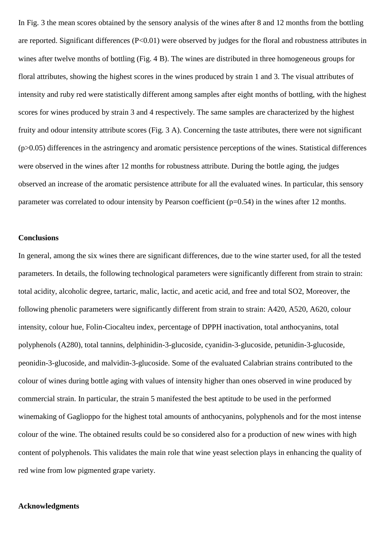In Fig. 3 the mean scores obtained by the sensory analysis of the wines after 8 and 12 months from the bottling are reported. Significant differences (P<0.01) were observed by judges for the floral and robustness attributes in wines after twelve months of bottling (Fig. 4 B). The wines are distributed in three homogeneous groups for floral attributes, showing the highest scores in the wines produced by strain 1 and 3. The visual attributes of intensity and ruby red were statistically different among samples after eight months of bottling, with the highest scores for wines produced by strain 3 and 4 respectively. The same samples are characterized by the highest fruity and odour intensity attribute scores (Fig. 3 A). Concerning the taste attributes, there were not significant (p>0.05) differences in the astringency and aromatic persistence perceptions of the wines. Statistical differences were observed in the wines after 12 months for robustness attribute. During the bottle aging, the judges observed an increase of the aromatic persistence attribute for all the evaluated wines. In particular, this sensory parameter was correlated to odour intensity by Pearson coefficient  $(p=0.54)$  in the wines after 12 months.

## **Conclusions**

In general, among the six wines there are significant differences, due to the wine starter used, for all the tested parameters. In details, the following technological parameters were significantly different from strain to strain: total acidity, alcoholic degree, tartaric, malic, lactic, and acetic acid, and free and total SO2, Moreover, the following phenolic parameters were significantly different from strain to strain: A420, A520, A620, colour intensity, colour hue, Folin-Ciocalteu index, percentage of DPPH inactivation, total anthocyanins, total polyphenols (A280), total tannins, delphinidin-3-glucoside, cyanidin-3-glucoside, petunidin-3-glucoside, peonidin-3-glucoside, and malvidin-3-glucoside. Some of the evaluated Calabrian strains contributed to the colour of wines during bottle aging with values of intensity higher than ones observed in wine produced by commercial strain. In particular, the strain 5 manifested the best aptitude to be used in the performed winemaking of Gaglioppo for the highest total amounts of anthocyanins, polyphenols and for the most intense colour of the wine. The obtained results could be so considered also for a production of new wines with high content of polyphenols. This validates the main role that wine yeast selection plays in enhancing the quality of red wine from low pigmented grape variety.

#### **Acknowledgments**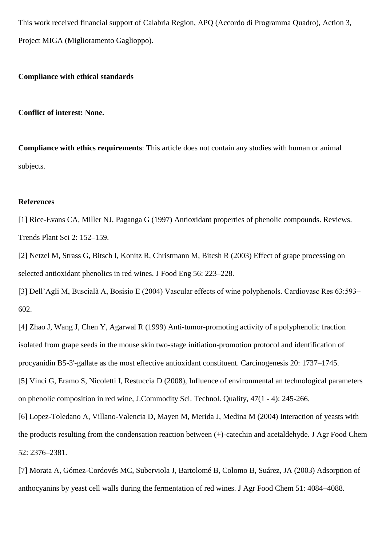This work received financial support of Calabria Region, APQ (Accordo di Programma Quadro), Action 3, Project MIGA (Miglioramento Gaglioppo).

# **Compliance with ethical standards**

**Conflict of interest: None.**

**Compliance with ethics requirements**: This article does not contain any studies with human or animal subjects.

# **References**

[1] Rice-Evans CA, Miller NJ, Paganga G (1997) Antioxidant properties of phenolic compounds. Reviews. Trends Plant Sci 2: 152–159.

[2] Netzel M, Strass G, Bitsch I, Konitz R, Christmann M, Bitcsh R (2003) Effect of grape processing on selected antioxidant phenolics in red wines. J Food Eng 56: 223–228.

[3] Dell'Agli M, Buscialà A, Bosisio E (2004) Vascular effects of wine polyphenols. Cardiovasc Res 63:593– 602.

[4] Zhao J, Wang J, Chen Y, Agarwal R (1999) Anti-tumor-promoting activity of a polyphenolic fraction isolated from grape seeds in the mouse skin two-stage initiation-promotion protocol and identification of procyanidin B5-3'-gallate as the most effective antioxidant constituent. Carcinogenesis 20: 1737–1745. [5] Vinci G, Eramo S, Nicoletti I, Restuccia D (2008), Influence of environmental an technological parameters on phenolic composition in red wine, J.Commodity Sci. Technol. Quality, 47(1 - 4): 245-266. [6] Lopez-Toledano A, Villano-Valencia D, Mayen M, Merida J, Medina M (2004) Interaction of yeasts with the products resulting from the condensation reaction between (+)-catechin and acetaldehyde. J Agr Food Chem 52: 2376–2381.

[7] Morata A, Gómez-Cordovés MC, Suberviola J, Bartolomé B, Colomo B, Suárez, JA (2003) Adsorption of anthocyanins by yeast cell walls during the fermentation of red wines. J Agr Food Chem 51: 4084–4088.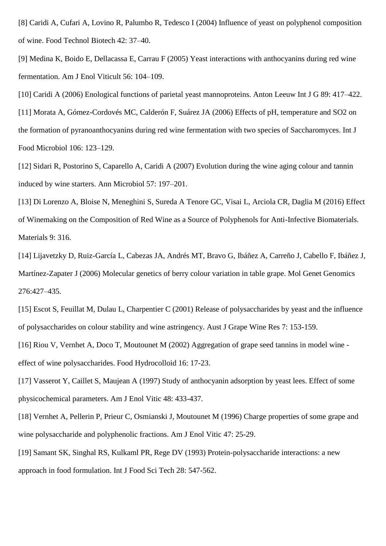[8] Caridi A, Cufari A, Lovino R, Palumbo R, Tedesco I (2004) Influence of yeast on polyphenol composition of wine. Food Technol Biotech 42: 37–40.

[9] Medina K, Boido E, Dellacassa E, Carrau F (2005) Yeast interactions with anthocyanins during red wine fermentation. Am J Enol Viticult 56: 104–109.

[10] Caridi A (2006) Enological functions of parietal yeast mannoproteins. Anton Leeuw Int J G 89: 417–422. [11] Morata A, Gómez-Cordovés MC, Calderón F, Suárez JA (2006) Effects of pH, temperature and SO2 on the formation of pyranoanthocyanins during red wine fermentation with two species of Saccharomyces. Int J Food Microbiol 106: 123–129.

[12] Sidari R, Postorino S, Caparello A, Caridi A (2007) Evolution during the wine aging colour and tannin induced by wine starters. Ann Microbiol 57: 197–201.

[13] Di Lorenzo A, Bloise N, Meneghini S, Sureda A Tenore GC, Visai L, Arciola CR, Daglia M (2016) Effect of Winemaking on the Composition of Red Wine as a Source of Polyphenols for Anti-Infective Biomaterials. Materials 9: 316.

[14] Lijavetzky D, Ruiz-García L, Cabezas JA, Andrés MT, Bravo G, Ibáñez A, Carreño J, Cabello F, Ibáñez J, Martínez-Zapater J (2006) Molecular genetics of berry colour variation in table grape. Mol Genet Genomics 276:427–435.

[15] Escot S, Feuillat M, Dulau L, Charpentier C (2001) Release of polysaccharides by yeast and the influence of polysaccharides on colour stability and wine astringency. Aust J Grape Wine Res 7: 153-159.

[16] Riou V, Vernhet A, Doco T, Moutounet M (2002) Aggregation of grape seed tannins in model wine effect of wine polysaccharides. Food Hydrocolloid 16: 17-23.

[17] Vasserot Y, Caillet S, Maujean A (1997) Study of anthocyanin adsorption by yeast lees. Effect of some physicochemical parameters. Am J Enol Vitic 48: 433-437.

[18] Vernhet A, Pellerin P, Prieur C, Osmianski J, Moutounet M (1996) Charge properties of some grape and wine polysaccharide and polyphenolic fractions. Am J Enol Vitic 47: 25-29.

[19] Samant SK, Singhal RS, Kulkaml PR, Rege DV (1993) Protein-polysaccharide interactions: a new approach in food formulation. Int J Food Sci Tech 28: 547-562.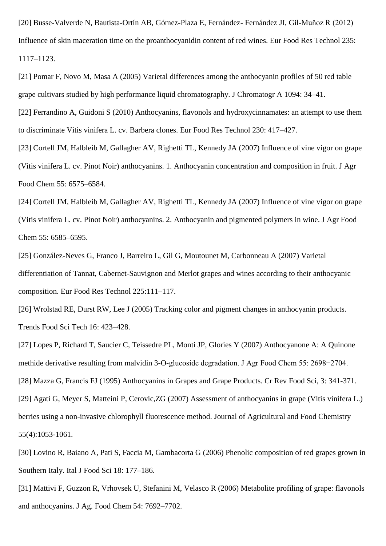[20] Busse-Valverde N, Bautista-Ortín AB, Gómez-Plaza E, Fernández- Fernández JI, Gil-Muňoz R (2012) Influence of skin maceration time on the proanthocyanidin content of red wines. Eur Food Res Technol 235: 1117–1123.

[21] Pomar F, Novo M, Masa A (2005) Varietal differences among the anthocyanin profiles of 50 red table grape cultivars studied by high performance liquid chromatography. J Chromatogr A 1094: 34–41.

[22] Ferrandino A, Guidoni S (2010) Anthocyanins, flavonols and hydroxycinnamates: an attempt to use them to discriminate Vitis vinifera L. cv. Barbera clones. Eur Food Res Technol 230: 417–427.

[23] Cortell JM, Halbleib M, Gallagher AV, Righetti TL, Kennedy JA (2007) Influence of vine vigor on grape (Vitis vinifera L. cv. Pinot Noir) anthocyanins. 1. Anthocyanin concentration and composition in fruit. J Agr Food Chem 55: 6575–6584.

[24] Cortell JM, Halbleib M, Gallagher AV, Righetti TL, Kennedy JA (2007) Influence of vine vigor on grape (Vitis vinifera L. cv. Pinot Noir) anthocyanins. 2. Anthocyanin and pigmented polymers in wine. J Agr Food Chem 55: 6585–6595.

[25] González-Neves G, Franco J, Barreiro L, Gil G, Moutounet M, Carbonneau A (2007) Varietal differentiation of Tannat, Cabernet-Sauvignon and Merlot grapes and wines according to their anthocyanic composition. Eur Food Res Technol 225:111–117.

[26] Wrolstad RE, Durst RW, Lee J (2005) Tracking color and pigment changes in anthocyanin products. Trends Food Sci Tech 16: 423–428.

[27] Lopes P, Richard T, Saucier C, Teissedre PL, Monti JP, Glories Y (2007) Anthocyanone A: A Quinone methide derivative resulting from malvidin 3-O-glucoside degradation. J Agr Food Chem 55: 2698−2704. [28] Mazza G, Francis FJ (1995) Anthocyanins in Grapes and Grape Products. Cr Rev Food Sci, 3: 341-371. [29] Agati G, Meyer S, Matteini P, Cerovic,ZG (2007) Assessment of anthocyanins in grape (Vitis vinifera L.) berries using a non-invasive chlorophyll fluorescence method. Journal of Agricultural and Food Chemistry 55(4):1053-1061.

[30] Lovino R, Baiano A, Pati S, Faccia M, Gambacorta G (2006) Phenolic composition of red grapes grown in Southern Italy. Ital J Food Sci 18: 177–186.

[31] Mattivi F, Guzzon R, Vrhovsek U, Stefanini M, Velasco R (2006) Metabolite profiling of grape: flavonols and anthocyanins. J Ag. Food Chem 54: 7692–7702.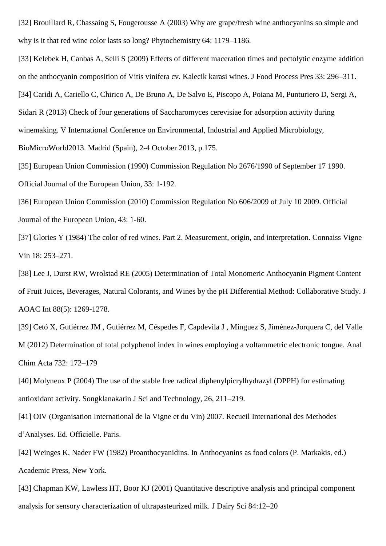[32] Brouillard R, Chassaing S, Fougerousse A (2003) Why are grape/fresh wine anthocyanins so simple and why is it that red wine color lasts so long? Phytochemistry 64: 1179–1186.

[33] Kelebek H, Canbas A, Selli S (2009) Effects of different maceration times and pectolytic enzyme addition on the anthocyanin composition of Vitis vinifera cv. Kalecik karasi wines. J Food Process Pres 33: 296–311. [34] Caridi A, Cariello C, Chirico A, De Bruno A, De Salvo E, Piscopo A, Poiana M, Punturiero D, Sergi A, Sidari R (2013) Check of four generations of Saccharomyces cerevisiae for adsorption activity during winemaking. V International Conference on Environmental, Industrial and Applied Microbiology, BioMicroWorld2013. Madrid (Spain), 2-4 October 2013, p.175.

[35] European Union Commission (1990) Commission Regulation No 2676/1990 of September 17 1990. Official Journal of the European Union, 33: 1-192.

[36] European Union Commission (2010) Commission Regulation No 606/2009 of July 10 2009. Official Journal of the European Union, 43: 1-60.

[37] Glories Y (1984) The color of red wines. Part 2. Measurement, origin, and interpretation. Connaiss Vigne Vin 18: 253–271.

[38] Lee J, Durst RW, Wrolstad RE (2005) Determination of Total Monomeric Anthocyanin Pigment Content of Fruit Juices, Beverages, Natural Colorants, and Wines by the pH Differential Method: Collaborative Study. J AOAC Int 88(5): 1269-1278.

[39] Cetó X, Gutiérrez JM , Gutiérrez M, Céspedes F, Capdevila J , Mínguez S, Jiménez-Jorquera C, del Valle M (2012) Determination of total polyphenol index in wines employing a voltammetric electronic tongue. Anal Chim Acta 732: 172–179

[40] Molyneux P (2004) The use of the stable free radical diphenylpicrylhydrazyl (DPPH) for estimating antioxidant activity. Songklanakarin J Sci and Technology, 26, 211–219.

[41] OIV (Organisation International de la Vigne et du Vin) 2007. Recueil International des Methodes d'Analyses. Ed. Officielle. Paris.

[42] Weinges K, Nader FW (1982) Proanthocyanidins. In Anthocyanins as food colors (P. Markakis, ed.) Academic Press, New York.

[43] Chapman KW, Lawless HT, Boor KJ (2001) Quantitative descriptive analysis and principal component analysis for sensory characterization of ultrapasteurized milk. J Dairy Sci 84:12–20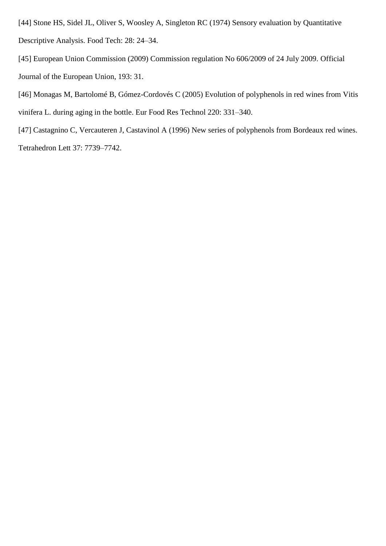- [44] Stone HS, Sidel JL, Oliver S, Woosley A, Singleton RC (1974) Sensory evaluation by Quantitative Descriptive Analysis. Food Tech: 28: 24–34.
- [45] European Union Commission (2009) Commission regulation No 606/2009 of 24 July 2009. Official Journal of the European Union, 193: 31.
- [46] Monagas M, Bartolomé B, Gómez-Cordovés C (2005) Evolution of polyphenols in red wines from Vitis vinifera L. during aging in the bottle. Eur Food Res Technol 220: 331–340.
- [47] Castagnino C, Vercauteren J, Castavinol A (1996) New series of polyphenols from Bordeaux red wines. Tetrahedron Lett 37: 7739–7742.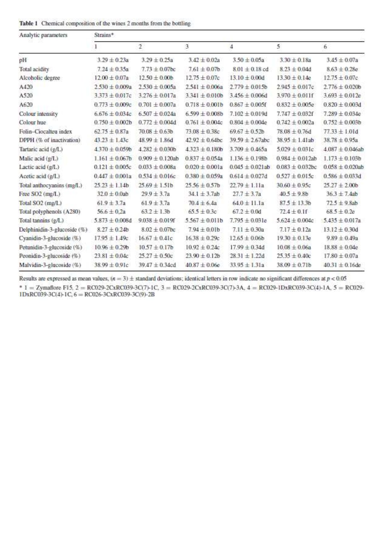| Table 1 Chemical composition of the wines 2 months from the bottling |  |  |  |  |  |  |  |  |
|----------------------------------------------------------------------|--|--|--|--|--|--|--|--|
|----------------------------------------------------------------------|--|--|--|--|--|--|--|--|

| Analytic parameters         | Strains*            |                     |                     |                      |                      |                      |  |  |
|-----------------------------|---------------------|---------------------|---------------------|----------------------|----------------------|----------------------|--|--|
|                             | 1                   | $\overline{2}$      | 3                   | 4                    | 5.                   | 6                    |  |  |
| pH                          | $3.29 \pm 0.23a$    | $3.29 \pm 0.25a$    | $3.42 \pm 0.02a$    | $3.50 \pm 0.05a$     | $3.30 \pm 0.18a$     | $3.45 \pm 0.07a$     |  |  |
| Total acidity               | $7.24 \pm 0.35a$    | $7.73 \pm 0.07$ bc  | $7.61 \pm 0.07$ b   | $8.01 \pm 0.18$ cd   | $8.23 \pm 0.04d$     | $8.63 \pm 0.28e$     |  |  |
| Alcoholic degree            | $12.00 \pm 0.07a$   | $12.50 \pm 0.00$ b  | $12.75 \pm 0.07c$   | $13.10 \pm 0.00d$    | $13.30 \pm 0.14e$    | $12.75 \pm 0.07c$    |  |  |
| A420                        | $2.530 \pm 0.009a$  | $2.530 + 0.005a$    | $2.541 + 0.006a$    | $2.779 + 0.015$      | $2.945 + 0.017c$     | $2.776 \pm 0.020$    |  |  |
| A520                        | $3.373 \pm 0.017c$  | $3.276 \pm 0.017a$  | $3.341 \pm 0.010b$  | $3.456 \pm 0.006d$   | $3.970 \pm 0.011$ f  | $3.693 \pm 0.012e$   |  |  |
| A620                        | $0.773 \pm 0.009c$  | $0.701 + 0.007a$    | $0.718 \pm 0.001b$  | $0.867 + 0.005f$     | $0.832 + 0.005e$     | $0.820 \pm 0.003$ d  |  |  |
| Colour intensity            | $6.676 \pm 0.034c$  | $6.507 \pm 0.024a$  | $6.599 \pm 0.008$ b | $7.102 \pm 0.019d$   | $7.747 \pm 0.032f$   | $7.289 \pm 0.034e$   |  |  |
| Colour hue                  | $0.750 \pm 0.002$ b | $0.772 \pm 0.004d$  | $0.761 \pm 0.004c$  | $0.804 \pm 0.004e$   | $0.742 \pm 0.002a$   | $0.752 \pm 0.003b$   |  |  |
| Folin-Ciocalteu index       | $62.75 \pm 0.87a$   | $70.08 + 0.63b$     | $73.08 \pm 0.38c$   | $69.67 + 0.52b$      | $78.08 \pm 0.76$ d   | $77.33 \pm 1.01d$    |  |  |
| DPPH (% of inactivation)    | $43.23 \pm 1.43c$   | $48.99 \pm 1.86$ d  | $42.92 \pm 0.64$ bc | 39.59 ± 2.67abc      | $38.95 \pm 1.41$ ab  | 38.78 ± 0.95a        |  |  |
| Tartaric acid (g/L)         | $4370 \pm 0.059$    | $4.282 \pm 0.030b$  | $4.323 \pm 0.180b$  | $3.709 \pm 0.465a$   | $5.029 \pm 0.031c$   | $4.087 \pm 0.046$ ab |  |  |
| Malic acid (g/L)            | $1.161 \pm 0.067$ b | $0.909 + 0.120$ ab  | $0.837 + 0.054a$    | $1.136 \pm 0.198b$   | $0.984 \pm 0.012$ ab | $1.173 \pm 0.103b$   |  |  |
| Lactic acid (g/L)           | $0.121 \pm 0.005c$  | $0.033 \pm 0.008a$  | $0.020 \pm 0.001a$  | $0.045 \pm 0.021$ ab | $0.083 \pm 0.032$ bc | $0.058 \pm 0.020$ ab |  |  |
| Acetic acid (g/L)           | $0.447 \pm 0.001a$  | $0.534 \pm 0.016c$  | $0.380 \pm 0.059a$  | $0.614 \pm 0.027d$   | $0.527 \pm 0.015c$   | $0.586 \pm 0.033$ d  |  |  |
| Total anthocyanins (mg/L)   | $25.23 \pm 1.14b$   | $25.69 + 1.51b$     | $25.56 + 0.57$      | $22.79 + 1.11a$      | $30.60 + 0.95c$      | $25.27 \pm 2.00b$    |  |  |
| Free SO <sub>2</sub> (mg/L) | $32.0 \pm 0.0$ ab   | $29.9 \pm 3.7a$     | $34.1 \pm 3.7$ ab   | $27.7 \pm 3.7a$      | $40.5 \pm 9.8$ b     | $36.3 \pm 7.4$ ab    |  |  |
| Total SO2 (mg/L)            | $61.9 \pm 3.7a$     | $61.9 \pm 3.7a$     | $70.4 \pm 6.4a$     | $64.0 \pm 11.1a$     | $87.5 \pm 13.3b$     | $72.5 \pm 9.8$ ab    |  |  |
| Total polyphenols (A280)    | $56.6 \pm 0.2a$     | $63.2 \pm 1.3b$     | $65.5 \pm 0.3c$     | $67.2 \pm 0.0d$      | $72.4 \pm 0.1$ f     | $68.5 \pm 0.2e$      |  |  |
| Total tannins (g/L)         | $5.873 \pm 0.008$ d | $9.038 \pm 0.019$ f | $5.567 \pm 0.011b$  | $7.795 \pm 0.031e$   | $5.624 \pm 0.004c$   | $5.435 \pm 0.017a$   |  |  |
| Delphinidin-3-glucoside (%) | $8.27 \pm 0.24b$    | $8.02 \pm 0.07$ bc  | $7.94 \pm 0.01b$    | $7.11 + 0.30a$       | $7.17 \pm 0.12a$     | $13.12 \pm 0.30d$    |  |  |
| Cyanidin-3-glucoside (%)    | $17.95 \pm 1.49c$   | $16.67 \pm 0.41c$   | $16.38 \pm 0.29c$   | $12.65 \pm 0.06b$    | $19.30 \pm 0.13e$    | $9.89 \pm 0.49a$     |  |  |
| Petunidin-3-glucoside (%)   | $10.96 \pm 0.29$    | $10.57 \pm 0.17$ b  | $10.92 \pm 0.24c$   | $17.99 \pm 0.34d$    | $10.08 \pm 0.06a$    | $18.88 \pm 0.04e$    |  |  |
| Peonidin-3-glucoside (%)    | $23.81 \pm 0.04c$   | $25.27 \pm 0.50c$   | $23.90 \pm 0.12b$   | $28.31 \pm 1.22d$    | $25.35 \pm 0.40c$    | $17.80 \pm 0.07a$    |  |  |
| Malvidin-3-glucoside (%)    | $38.99 \pm 0.91c$   | $39.47 \pm 0.34$ cd | $40.87 \pm 0.06e$   | $33.95 \pm 1.31a$    | $38.09 \pm 0.71b$    | $40.31 \pm 0.16$ de  |  |  |

Results are expressed as mean values,  $(n = 3) \pm$  standard deviations; identical letters in row indicate no significant differences at  $p < 0.05$ 

\* 1 = Zymaflore F15, 2 = RC029-2CxRC039-3C(7)-1C, 3 = RC029-2CxRC039-3C(7)-3A, 4 = RC029-1DxRC039-3C(4)-1A, 5 = RC029-1DxRC039-3C(4)-1A, 5 = RC029-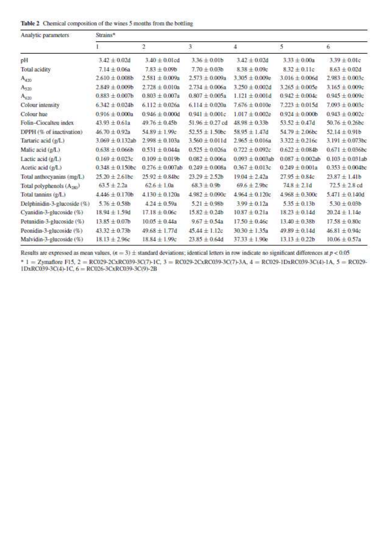|  | Table 2 Chemical composition of the wines 5 months from the bottling |  |  |  |
|--|----------------------------------------------------------------------|--|--|--|
|  |                                                                      |  |  |  |

| Analytic parameters                   | Strains*             |                         |                     |                      |                      |                      |  |  |
|---------------------------------------|----------------------|-------------------------|---------------------|----------------------|----------------------|----------------------|--|--|
|                                       |                      | $\overline{\mathbf{2}}$ | 3                   | 4                    | 5                    | 6                    |  |  |
| pH                                    | $3.42 \pm 0.02d$     | $3.40 \pm 0.01$ cd      | $3.36 \pm 0.01b$    | $3.42 \pm 0.02d$     | $3.33 \pm 0.00a$     | $3.39 \pm 0.01c$     |  |  |
| Total acidity                         | $7.14 \pm 0.06a$     | $7.83 \pm 0.09$ b       | $7.70 \pm 0.03b$    | $8.38 \pm 0.09c$     | $8.32 \pm 0.11c$     | $8.63 \pm 0.02$ d    |  |  |
| $A_{420}$                             | $2.610 \pm 0.008$ b  | $2.581 \pm 0.009a$      | $2.573 \pm 0.009a$  | $3.305 + 0.009e$     | $3.016 \pm 0.006d$   | $2.983 \pm 0.003c$   |  |  |
| $A_{520}$                             | $2.849 \pm 0.009$ b  | $2.728 \pm 0.010a$      | $2.734 \pm 0.006a$  | $3.250 \pm 0.002$ d  | $3.265 \pm 0.005e$   | $3.165 \pm 0.009c$   |  |  |
| $A_{620}$                             | $0.883 \pm 0.007$ b  | $0.803 \pm 0.007a$      | $0.807 \pm 0.005a$  | $1.121 \pm 0.001d$   | $0.942 \pm 0.004c$   | $0.945 \pm 0.009c$   |  |  |
| Colour intensity                      | $6.342 \pm 0.024b$   | $6.112 \pm 0.026a$      | $6.114 \pm 0.020a$  | $7.676 \pm 0.010e$   | $7.223 \pm 0.015d$   | $7.093 \pm 0.003c$   |  |  |
| Colour hue                            | $0.916 \pm 0.000$ a  | $0.946 \pm 0.000$ d     | $0.941 \pm 0.001c$  | $1.017 \pm 0.002e$   | $0.924 + 0.000b$     | $0.943 \pm 0.002c$   |  |  |
| Folin-Ciocalteu index                 | $43.93 \pm 0.61a$    | $49.76 \pm 0.45b$       | $51.96 \pm 0.27$ cd | $48.98 \pm 0.33b$    | $53.52 \pm 0.47d$    | $50.76 \pm 0.26$ bc  |  |  |
| DPPH (% of inactivation)              | $46.70 \pm 0.92a$    | $54.89 \pm 1.99c$       | $52.55 \pm 1.50$ bc | $58.95 \pm 1.47d$    | $54.79 \pm 2.06$ bc  | $52.14 \pm 0.91b$    |  |  |
| Tartaric acid (g/L)                   | $3.069 \pm 0.132$ ab | $2.998 \pm 0.103a$      | $3.560 \pm 0.011d$  | $2.965 \pm 0.016a$   | $3.322 \pm 0.216c$   | $3.191 \pm 0.073$ bc |  |  |
| Malic acid (g/L)                      | $0.638 \pm 0.066b$   | $0.531 \pm 0.044a$      | $0.525 \pm 0.026a$  | $0.722 \pm 0.092c$   | $0.622 \pm 0.084$    | $0.671 \pm 0.036$ bc |  |  |
| Lactic acid (g/L)                     | $0.169 \pm 0.023c$   | $0.109 \pm 0.019$       | $0.082 \pm 0.006a$  | $0.093 \pm 0.003$ ab | $0.087 \pm 0.002$ ab | $0.103 \pm 0.031$ ab |  |  |
| Acetic acid (g/L)                     | $0.348 \pm 0.150$ bc | $0.276 \pm 0.007$ ab    | $0.249 + 0.008a$    | $0.367 \pm 0.013c$   | $0.249 \pm 0.001a$   | $0.353 \pm 0.004$ bc |  |  |
| Total anthocyanins (mg/L)             | $25.20 \pm 2.61$ bc  | $25.92 \pm 0.84$ bc     | $23.29 + 2.52b$     | $19.04 \pm 2.42a$    | $27.95 \pm 0.84c$    | $23.87 + 1.41b$      |  |  |
| Total polyphenols (A <sub>280</sub> ) | $63.5 \pm 2.2a$      | $62.6 \pm 1.0a$         | $68.3 \pm 0.9$      | $69.6 \pm 2.9$ bc    | $74.8 \pm 2.1$ d     | $72.5 \pm 2.8$ cd    |  |  |
| Total tannins (g/L)                   | $4.446 \pm 0.170b$   | $4.130 \pm 0.120a$      | $4.982 \pm 0.090c$  | $4.964 \pm 0.120c$   | $4.968 \pm 0.300c$   | $5.471 \pm 0.140d$   |  |  |
| Delphinidin-3-glucoside (%)           | $5.76 \pm 0.58$ b    | $4.24 \pm 0.59a$        | $5.21 \pm 0.98$ b   | $3.99 \pm 0.12a$     | $5.35 \pm 0.13h$     | $5.30 + 0.03b$       |  |  |
| Cyanidin-3-glucoside (%)              | $18.94 \pm 1.59d$    | $17.18 \pm 0.06c$       | $15.82 \pm 0.24b$   | $10.87 \pm 0.21a$    | $18.23 \pm 0.14d$    | $20.24 \pm 1.14e$    |  |  |
| Petunidin-3-glucoside (%)             | $13.85 \pm 0.07$ b   | $10.05 \pm 0.44a$       | $9.67 \pm 0.54a$    | $17.50 \pm 0.46c$    | $13.40 \pm 0.38b$    | $17.58 \pm 0.80c$    |  |  |
| Peonidin-3-glucoside (%)              | $43.32 \pm 0.73b$    | $49.68 \pm 1.77d$       | $45.44 \pm 1.12c$   | $3030 \pm 1.35a$     | $49.89 \pm 0.14d$    | $46.81 \pm 0.94c$    |  |  |
| Malvidin-3-glucoside (%)              | $18.13 \pm 2.96c$    | $18.84 \pm 1.99c$       | $23.85 \pm 0.64d$   | $37.33 \pm 1.90e$    | $13.13 \pm 0.22b$    | $10.06 \pm 0.57a$    |  |  |

Results are expressed as mean values,  $(n = 3) \pm$  standard deviations; identical letters in row indicate no significant differences at  $p < 0.05$ \* 1 = Zymaflore F15, 2 = RC029-2CxRC039-3C(7)-1C, 3 = RC029-2CxRC039-3C(7)-3A, 4 = RC029-1DxRC039-3C(4)-1A, 5 = RC029-1DxRC039-3C(4)-1A, 5 = RC029-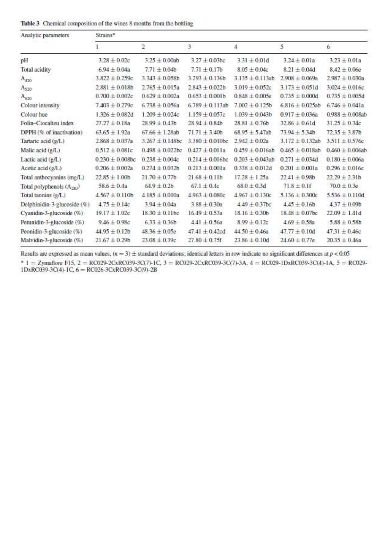|  |  |  |  |  | Table 3 Chemical composition of the wines 8 months from the bottling |
|--|--|--|--|--|----------------------------------------------------------------------|
|--|--|--|--|--|----------------------------------------------------------------------|

| Analytic parameters                   | Strains*             |                      |                      |                      |                      |                      |  |  |
|---------------------------------------|----------------------|----------------------|----------------------|----------------------|----------------------|----------------------|--|--|
|                                       |                      | $\overline{2}$       | 3                    | 4                    | 5                    | 6                    |  |  |
| pH                                    | $3.28 \pm 0.02c$     | $3.25 \pm 0.00$ ab   | $3.27 \pm 0.03$ bc   | $3.31 \pm 0.01d$     | $3.24 \pm 0.01a$     | $3.23 + 0.01a$       |  |  |
| Total acidity                         | $6.94 \pm 0.04a$     | $7.71 \pm 0.04b$     | $7.71 \pm 0.17$ b    | $8.05 \pm 0.04c$     | $8.21 \pm 0.04d$     | $8.42 \pm 0.06e$     |  |  |
| $A_{420}$                             | $3.822 \pm 0.259c$   | $3.343 \pm 0.058b$   | $3.293 \pm 0.136$    | $3.135 \pm 0.113$ ab | $2.908 \pm 0.069a$   | $2.987 + 0.030a$     |  |  |
| Aszo                                  | $2.881 \pm 0.018b$   | $2.765 \pm 0.015a$   | $2.843 \pm 0.022b$   | $3.019 \pm 0.052c$   | $3.173 \pm 0.051$ d  | $3.024 \pm 0.016c$   |  |  |
| $A_{620}$                             | $0.700 \pm 0.002c$   | $0.629 \pm 0.002a$   | $0.653 \pm 0.001$ b  | $0.848 \pm 0.005e$   | $0.735 \pm 0.000d$   | $0.735 \pm 0.005d$   |  |  |
| Colour intensity                      | $7.403 \pm 0.279c$   | $6.738 \pm 0.056a$   | $6.789 \pm 0.113$ ab | $7.002 \pm 0.125$ b  | $6.816 \pm 0.025$ ab | $6.746 \pm 0.041a$   |  |  |
| Colour hue                            | $1.326 \pm 0.082$ d  | $1.209 \pm 0.024c$   | $1.159 \pm 0.057c$   | $1.039 \pm 0.043b$   | $0.917 \pm 0.036a$   | $0.988 \pm 0.008$ ab |  |  |
| Folin-Ciocalteu index                 | $27.27 \pm 0.18$ a   | $28.99 \pm 0.43b$    | $28.94 \pm 0.84$ b   | $28.81 \pm 0.76b$    | $32.86 \pm 0.61$ d   | $31.25 \pm 0.34c$    |  |  |
| DPPH (% of inactivation)              | $63.65 \pm 1.92a$    | $67.66 \pm 1.28$ ab  | $71.71 + 3.40b$      | $68.95 \pm 5.47$ ab  | $73.94 + 5.34b$      | $72.35 + 3.87b$      |  |  |
| Tartaric acid (g/L)                   | $2.868 \pm 0.037a$   | $3.267 \pm 0.148$ bc | $3.380 \pm 0.010$ bc | $2.942 \pm 0.02a$    | $3.172 \pm 0.132$ ab | $3.511 \pm 0.576c$   |  |  |
| Malic acid (g/L)                      | $0.512 \pm 0.081c$   | $0.498 \pm 0.022$ bc | $0.427 \pm 0.011a$   | $0.459 \pm 0.016$ ab | $0.465 \pm 0.018$ ab | $0.460 \pm 0.006$ ab |  |  |
| Lactic acid (g/L)                     | $0.230 \pm 0.008$ bc | $0.238 + 0.004c$     | $0.214 \pm 0.016$ bc | $0.203 + 0.043$ ab   | $0.271 \pm 0.034$ d  | $0.180 \pm 0.006a$   |  |  |
| Acetic acid (g/L)                     | $0.206 \pm 0.002a$   | $0.274 \pm 0.032b$   | $0.213 \pm 0.001a$   | $0.338 + 0.012d$     | $0.201 + 0.001a$     | $0.296 \pm 0.016c$   |  |  |
| Total anthocyanins (mg/L)             | $22.85 \pm 1.00b$    | $21.70 \pm 0.77$ b   | $21.68 \pm 0.11b$    | $17.28 + 1.25a$      | $22.41 \pm 0.98b$    | $22.29 \pm 2.31b$    |  |  |
| Total polyphenols (A <sub>281</sub> ) | $58.6 \pm 0.4a$      | $64.9 \pm 0.2b$      | $67.1 \pm 0.4c$      | $68.0 \pm 0.3d$      | $71.8 \pm 0.1$ f     | $70.0 \pm 0.3e$      |  |  |
| Total tannins (g/L)                   | $4.567 \pm 0.110b$   | $4.185 \pm 0.010a$   | $4.963 \pm 0.080c$   | $4.967 \pm 0.130c$   | $5.136 \pm 0.300c$   | $5.536 \pm 0.110d$   |  |  |
| Delphinidin-3-glucoside (%)           | $4.75 \pm 0.14c$     | $3.94 \pm 0.04a$     | $3.88 \pm 0.30a$     | $4.49 \pm 0.37$ bc   | $4.45 \pm 0.16b$     | $4.37 + 0.09b$       |  |  |
| Cyanidin-3-glucoside (%)              | $19.17 \pm 1.02c$    | $18.30 + 0.11$ bc    | $16.49 \pm 0.53a$    | $18.16 \pm 0.30b$    | $18.48 \pm 0.07$ bc  | $22.09 \pm 1.41d$    |  |  |
| Petunidin-3-glucoside (%)             | $9.46 \pm 0.98c$     | $6.33 \pm 0.36b$     | $4.41 \pm 0.56a$     | $8.99 \pm 0.12c$     | $4.69 \pm 0.58$ a    | $5.88 \pm 0.58$      |  |  |
| Peonidin-3-glucoside (%)              | $44.95 \pm 0.12b$    | $48.36 \pm 0.05e$    | $47.41 \pm 0.42$ cd  | $44.50 \pm 0.46a$    | $47.77 \pm 0.10d$    | $47.31 \pm 0.46c$    |  |  |
| Malvidin-3-glucoside (%)              | $21.67 \pm 0.29b$    | $23.08 \pm 0.39c$    | $27.80 \pm 0.75f$    | $23.86 \pm 0.10d$    | $24.60 \pm 0.77e$    | $20.35 \pm 0.46a$    |  |  |

Results are expressed as mean values,  $(n = 3) \pm$  standard deviations; identical letters in row indicate no significant differences at  $p < 0.05$ 

\* 1 = Zymaflore F15, 2 = RC029-2CxRC039-3C(7)-1C, 3 = RC029-2CxRC039-3C(7)-3A, 4 = RC029-1DxRC039-3C(4)-1A, 5 = RC029-1DxRC039-3C(4)-1A, 5 = RC029-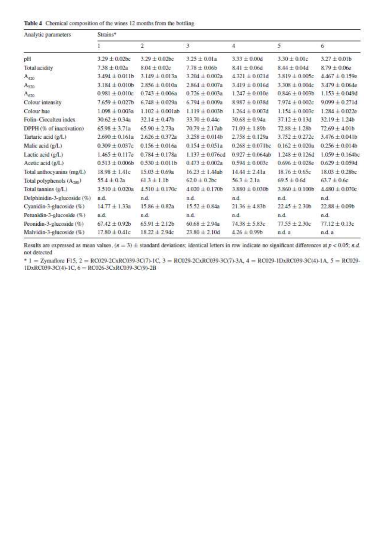|  | Table 4 Chemical composition of the wines 12 months from the bottling |  |  |
|--|-----------------------------------------------------------------------|--|--|
|  |                                                                       |  |  |

| Analytic parameters                   | Strains*            |                      |                      |                      |                    |                      |  |  |  |
|---------------------------------------|---------------------|----------------------|----------------------|----------------------|--------------------|----------------------|--|--|--|
|                                       | 1                   | $\overline{2}$       | 3                    | 4                    | 5                  | 6                    |  |  |  |
| pH                                    | $3.29 \pm 0.02$ bc  | $3.29 \pm 0.02$ bc   | $3.25 \pm 0.01a$     | $3.33 \pm 0.00d$     | $3.30 \pm 0.01c$   | $3.27 \pm 0.01b$     |  |  |  |
| Total acidity                         | $7.38 \pm 0.02a$    | $8.04 \pm 0.02c$     | $7.78 \pm 0.06$      | $8.41 \pm 0.06d$     | $8.44 \pm 0.04$ d  | $8.79 \pm 0.06e$     |  |  |  |
| $A_{420}$                             | $3.494 \pm 0.011b$  | $3.149 \pm 0.013a$   | $3.204 \pm 0.002a$   | $4.321 \pm 0.021$ d  | $3.819 \pm 0.005c$ | $4.467 \pm 0.159e$   |  |  |  |
| A <sub>520</sub>                      | $3.184 \pm 0.010b$  | $2.856 \pm 0.010a$   | $2.864 \pm 0.007a$   | $3.419 \pm 0.016d$   | $3.308 \pm 0.004c$ | $3.479 \pm 0.064e$   |  |  |  |
| $A_{620}$                             | $0.981 \pm 0.010c$  | $0.743 \pm 0.006a$   | $0.726 \pm 0.003a$   | $1.247 \pm 0.010e$   | $0.846 \pm 0.003b$ | $1.153 \pm 0.049d$   |  |  |  |
| Colour intensity                      | $7.659 \pm 0.027$ b | $6.748 \pm 0.029a$   | $6.794 \pm 0.009a$   | $8.987 \pm 0.038$ d  | $7.974 \pm 0.002c$ | $9.099 \pm 0.271d$   |  |  |  |
| Colour hue                            | $1.098 \pm 0.003a$  | $1.102 \pm 0.001$ ab | $1.119 \pm 0.003b$   | $1.264 \pm 0.007d$   | $1.154 \pm 0.003c$ | $1.284 \pm 0.022e$   |  |  |  |
| Folin-Ciocalteu index                 | $30.62 \pm 0.34a$   | $32.14 \pm 0.47$ b   | $33.70 \pm 0.44c$    | $30.68 \pm 0.94a$    | $37.12 \pm 0.13$ d | $32.19 \pm 1.24b$    |  |  |  |
| DPPH (% of inactivation)              | $65.98 \pm 3.71a$   | $65.90 \pm 2.73a$    | $70.79 \pm 2.17$ ab  | $71.09 \pm 1.89b$    | $72.88 \pm 1.28b$  | $72.69 + 4.01b$      |  |  |  |
| Tartaric acid (g/L)                   | $2.690 \pm 0.161a$  | $2.626 \pm 0.372$ a  | $3.258 \pm 0.014b$   | $2.758 \pm 0.129$ a  | $3.752 \pm 0.272c$ | $3.476 \pm 0.041b$   |  |  |  |
| Malic acid (g/L)                      | $0.309 \pm 0.037c$  | $0.156 \pm 0.016a$   | $0.154 \pm 0.051a$   | $0.268 \pm 0.071$ bc | $0.162 \pm 0.020a$ | $0.256 \pm 0.014b$   |  |  |  |
| Lactic acid (g/L)                     | $1.465 \pm 0.117e$  | $0.784 \pm 0.178a$   | $1.137 \pm 0.076$ cd | $0.927 \pm 0.064$ ab | $1.248 \pm 0.126d$ | $1.059 \pm 0.164$ bc |  |  |  |
| Acetic acid (g/L)                     | $0.513 \pm 0.006b$  | $0.530 \pm 0.011b$   | $0.473 \pm 0.002a$   | $0.594 \pm 0.003c$   | $0.696 \pm 0.028e$ | $0.629 \pm 0.059d$   |  |  |  |
| Total anthocyanins (mg/L)             | $18.98 \pm 1.41c$   | $15.03 \pm 0.69$ a   | $16.23 \pm 1.44$ ab  | $14.44 \pm 2.41a$    | $18.76 \pm 0.65c$  | $18.03 \pm 0.28$ bc  |  |  |  |
| Total polyphenols (A <sub>281</sub> ) | $55.4 \pm 0.2a$     | $61.3 \pm 1.1b$      | $62.0 \pm 0.2$ bc    | $56.3 \pm 2.1a$      | $69.5 \pm 0.6d$    | $63.7 \pm 0.6c$      |  |  |  |
| Total tannins (g/L)                   | $3.510 \pm 0.020a$  | $4.510 \pm 0.170c$   | $4.020 \pm 0.170$ b  | $3.880 \pm 0.030b$   | $3.860 \pm 0.100$  | $4.480 \pm 0.070c$   |  |  |  |
| Delphinidin-3-glucoside (%)           | n.d.                | n.d.                 | n.d.                 | n.d.                 | n.d.               | n.d.                 |  |  |  |
| Cyanidin-3-glucoside (%)              | $14.77 \pm 1.33a$   | $15.86 \pm 0.82a$    | $15.52 \pm 0.84a$    | $21.36 \pm 4.83b$    | $22.45 \pm 2.30b$  | $22.88 \pm 0.09$     |  |  |  |
| Petunidin-3-glucoside (%)             | n.d.                | n.d.                 | n.d.                 | n.d.                 | n.d.               | n.d.                 |  |  |  |
| Peonidin-3-glucoside (%)              | $67.42 \pm 0.92b$   | $65.91 \pm 2.12b$    | $60.68 \pm 2.94a$    | $74.38 \pm 5.83c$    | $77.55 + 2.30c$    | $77.12 \pm 0.13c$    |  |  |  |
| Malvidin-3-glucoside (%)              | $17.80 \pm 0.41c$   | $18.22 \pm 2.94c$    | $23.80 \pm 2.10$ d   | $4.26 \pm 0.99$ b    | n.d. a             | n.d. a               |  |  |  |

Results are expressed as mean values,  $(n = 3) \pm$  standard deviations; identical letters in row indicate no significant differences at  $p < 0.05$ ; n.d. not detected

\* 1 = Zymaflore F15, 2 = RC029-2CxRC039-3C(7)-1C, 3 = RC029-2CxRC039-3C(7)-3A, 4 = RC029-1DxRC039-3C(4)-1A, 5 = RC029- $1DxRC039-3C(4)+1C$ ,  $6 = RC026-3CxRC039-3C(9)-2B$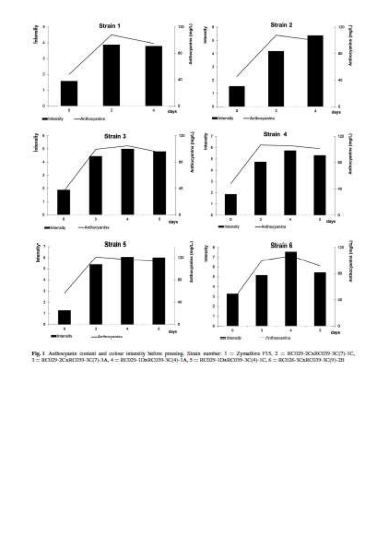

Fig. 1 Anthorpania contant and colour intensity before pressing. Simila number:  $1 = 2$ ymathon F15,  $2 = 0.0029 - 20.5003709 - 30(7) + 10$ ;  $1 = 0.0029 - 20.5003709 - 30(7) + 10$ ;  $1 = 0.0029 - 20.500379 - 30(7) + 20$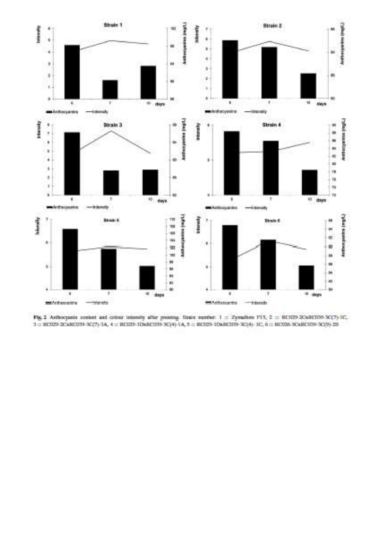

Fig. 2 Arthocyanix institut and colour intensity after proteing. Simile number:  $1 = 2$ ymathen FLS,  $2 = 0.0129 - 0.0403399 - 0.0379 - 0.0129$  $3 = 303029 - 20460379 - 361(7) - 3A, \ 4 = 303059 - 10630399 - 3614) - 3A, \ 5 = 303029 - 10630379 - 3614) - 101, \ 6 = 303059 - 30630199 - 36199 - 36199 - 36199 - 36199 - 36199 - 36199 - 36199 - 36199 - 36199 - 36199 - 36199 - 36199 - 36199 - 36199 -$